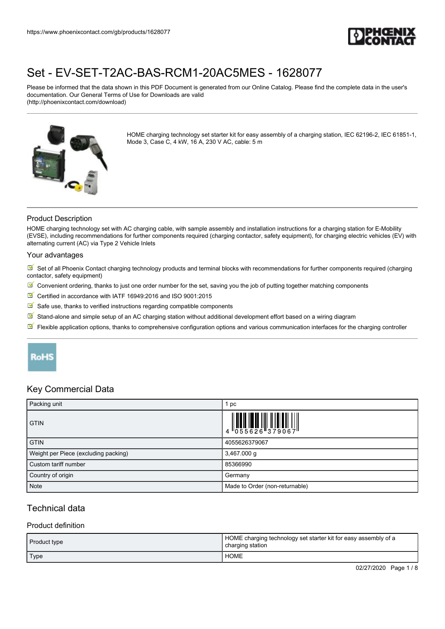

Please be informed that the data shown in this PDF Document is generated from our Online Catalog. Please find the complete data in the user's documentation. Our General Terms of Use for Downloads are valid (http://phoenixcontact.com/download)



HOME charging technology set starter kit for easy assembly of a charging station, IEC 62196-2, IEC 61851-1, Mode 3, Case C, 4 kW, 16 A, 230 V AC, cable: 5 m

### Product Description

HOME charging technology set with AC charging cable, with sample assembly and installation instructions for a charging station for E-Mobility (EVSE), including recommendations for further components required (charging contactor, safety equipment), for charging electric vehicles (EV) with alternating current (AC) via Type 2 Vehicle Inlets

#### Your advantages

 $\triangledown$  Set of all Phoenix Contact charging technology products and terminal blocks with recommendations for further components required (charging contactor, safety equipment)

- $\boxtimes'$  Convenient ordering, thanks to just one order number for the set, saving you the job of putting together matching components
- Certified in accordance with IATF 16949:2016 and ISO 9001:2015
- $\blacksquare$  Safe use, thanks to verified instructions regarding compatible components
- $\boxed{3}$  Stand-alone and simple setup of an AC charging station without additional development effort based on a wiring diagram
- Flexible application options, thanks to comprehensive configuration options and various communication interfaces for the charging controller

## **RoHS**

### Key Commercial Data

| Packing unit                         | pc                                                                                                                                                                                                                                                                                                                             |
|--------------------------------------|--------------------------------------------------------------------------------------------------------------------------------------------------------------------------------------------------------------------------------------------------------------------------------------------------------------------------------|
| <b>GTIN</b>                          | $\begin{array}{c} 1 & 0 & 0 & 0 \\ 0 & 0 & 0 & 0 \\ 0 & 0 & 0 & 0 \\ 0 & 0 & 0 & 0 \\ 0 & 0 & 0 & 0 \\ 0 & 0 & 0 & 0 \\ 0 & 0 & 0 & 0 \\ 0 & 0 & 0 & 0 \\ 0 & 0 & 0 & 0 \\ 0 & 0 & 0 & 0 \\ 0 & 0 & 0 & 0 \\ 0 & 0 & 0 & 0 \\ 0 & 0 & 0 & 0 & 0 \\ 0 & 0 & 0 & 0 & 0 \\ 0 & 0 & 0 & 0 & 0 \\ 0 & 0 & 0 & 0 & 0 \\ 0 & 0 & 0 &$ |
| <b>GTIN</b>                          | 4055626379067                                                                                                                                                                                                                                                                                                                  |
| Weight per Piece (excluding packing) | 3,467.000 g                                                                                                                                                                                                                                                                                                                    |
| Custom tariff number                 | 85366990                                                                                                                                                                                                                                                                                                                       |
| Country of origin                    | Germany                                                                                                                                                                                                                                                                                                                        |
| Note                                 | Made to Order (non-returnable)                                                                                                                                                                                                                                                                                                 |

## Technical data

#### Product definition

| <b>Product type</b> | HOME charging technology set starter kit for easy assembly of a<br>charging station |
|---------------------|-------------------------------------------------------------------------------------|
| Type                | HOME                                                                                |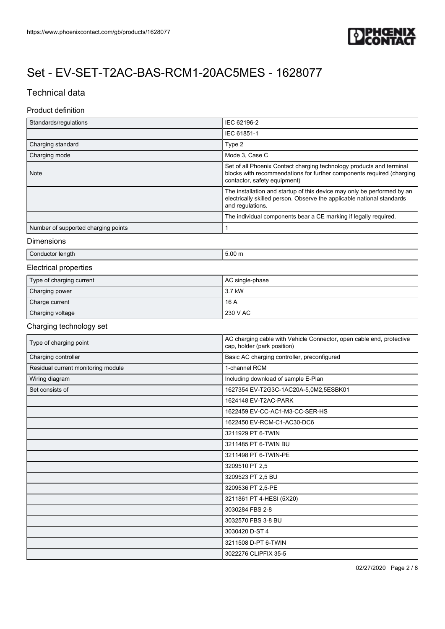

## Technical data

### Product definition

| Standards/regulations               | IEC 62196-2                                                                                                                                                                   |
|-------------------------------------|-------------------------------------------------------------------------------------------------------------------------------------------------------------------------------|
|                                     | IEC 61851-1                                                                                                                                                                   |
| Charging standard                   | Type 2                                                                                                                                                                        |
| Charging mode                       | Mode 3, Case C                                                                                                                                                                |
| <b>Note</b>                         | Set of all Phoenix Contact charging technology products and terminal<br>blocks with recommendations for further components required (charging<br>contactor, safety equipment) |
|                                     | The installation and startup of this device may only be performed by an<br>electrically skilled person. Observe the applicable national standards<br>and regulations.         |
|                                     | The individual components bear a CE marking if legally required.                                                                                                              |
| Number of supported charging points |                                                                                                                                                                               |

#### Dimensions

|--|

## Electrical properties

| Type of charging current | AC single-phase |
|--------------------------|-----------------|
| Charging power           | 3.7 kW          |
| Charge current           | 16A             |
| Charging voltage         | 230 V AC        |

### Charging technology set

| Type of charging point             | AC charging cable with Vehicle Connector, open cable end, protective<br>cap, holder (park position) |
|------------------------------------|-----------------------------------------------------------------------------------------------------|
| Charging controller                | Basic AC charging controller, preconfigured                                                         |
| Residual current monitoring module | 1-channel RCM                                                                                       |
| Wiring diagram                     | Including download of sample E-Plan                                                                 |
| Set consists of                    | 1627354 EV-T2G3C-1AC20A-5,0M2,5ESBK01                                                               |
|                                    | 1624148 EV-T2AC-PARK                                                                                |
|                                    | 1622459 EV-CC-AC1-M3-CC-SER-HS                                                                      |
|                                    | 1622450 EV-RCM-C1-AC30-DC6                                                                          |
|                                    | 3211929 PT 6-TWIN                                                                                   |
|                                    | 3211485 PT 6-TWIN BU                                                                                |
|                                    | 3211498 PT 6-TWIN-PE                                                                                |
|                                    | 3209510 PT 2,5                                                                                      |
|                                    | 3209523 PT 2,5 BU                                                                                   |
|                                    | 3209536 PT 2,5-PE                                                                                   |
|                                    | 3211861 PT 4-HESI (5X20)                                                                            |
|                                    | 3030284 FBS 2-8                                                                                     |
|                                    | 3032570 FBS 3-8 BU                                                                                  |
|                                    | 3030420 D-ST 4                                                                                      |
|                                    | 3211508 D-PT 6-TWIN                                                                                 |
|                                    | 3022276 CLIPFIX 35-5                                                                                |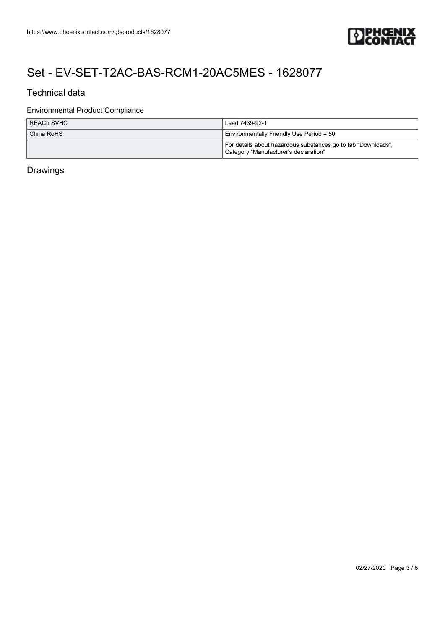

## Technical data

### Environmental Product Compliance

| I REACh SVHC | Lead 7439-92-1                                                                                         |
|--------------|--------------------------------------------------------------------------------------------------------|
| China RoHS   | Environmentally Friendly Use Period = 50                                                               |
|              | For details about hazardous substances go to tab "Downloads",<br>Category "Manufacturer's declaration" |

## Drawings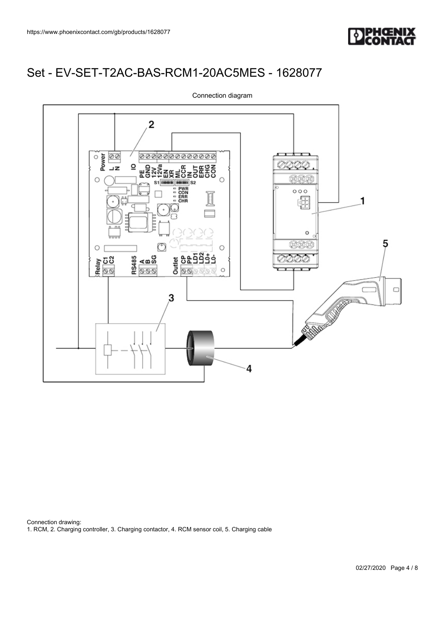



Connection diagram

Connection drawing: 1. RCM, 2. Charging controller, 3. Charging contactor, 4. RCM sensor coil, 5. Charging cable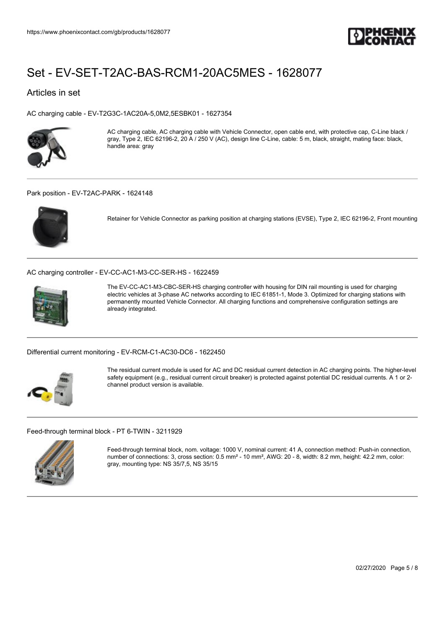

### Articles in set

[AC charging cable - EV-T2G3C-1AC20A-5,0M2,5ESBK01 - 1627354](https://www.phoenixcontact.com/gb/products/1627354)



AC charging cable, AC charging cable with Vehicle Connector, open cable end, with protective cap, C-Line black / gray, Type 2, IEC 62196-2, 20 A / 250 V (AC), design line C-Line, cable: 5 m, black, straight, mating face: black, handle area: gray

#### [Park position - EV-T2AC-PARK - 1624148](https://www.phoenixcontact.com/gb/products/1624148)



Retainer for Vehicle Connector as parking position at charging stations (EVSE), Type 2, IEC 62196-2, Front mounting

[AC charging controller - EV-CC-AC1-M3-CC-SER-HS - 1622459](https://www.phoenixcontact.com/gb/products/1622459)



The EV-CC-AC1-M3-CBC-SER-HS charging controller with housing for DIN rail mounting is used for charging electric vehicles at 3-phase AC networks according to IEC 61851-1, Mode 3. Optimized for charging stations with permanently mounted Vehicle Connector. All charging functions and comprehensive configuration settings are already integrated.

[Differential current monitoring - EV-RCM-C1-AC30-DC6 - 1622450](https://www.phoenixcontact.com/gb/products/1622450)



The residual current module is used for AC and DC residual current detection in AC charging points. The higher-level safety equipment (e.g., residual current circuit breaker) is protected against potential DC residual currents. A 1 or 2 channel product version is available.

[Feed-through terminal block - PT 6-TWIN - 3211929](https://www.phoenixcontact.com/gb/products/3211929)



Feed-through terminal block, nom. voltage: 1000 V, nominal current: 41 A, connection method: Push-in connection, number of connections: 3, cross section: 0.5 mm² - 10 mm², AWG: 20 - 8, width: 8.2 mm, height: 42.2 mm, color: gray, mounting type: NS 35/7,5, NS 35/15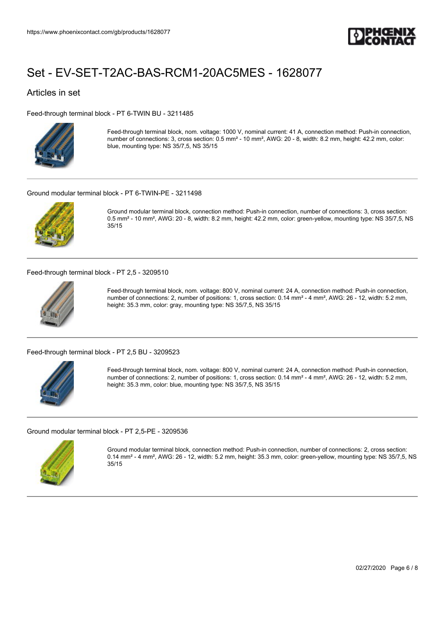

### Articles in set

[Feed-through terminal block - PT 6-TWIN BU - 3211485](https://www.phoenixcontact.com/gb/products/3211485)



Feed-through terminal block, nom. voltage: 1000 V, nominal current: 41 A, connection method: Push-in connection, number of connections: 3, cross section: 0.5 mm² - 10 mm², AWG: 20 - 8, width: 8.2 mm, height: 42.2 mm, color: blue, mounting type: NS 35/7,5, NS 35/15

#### [Ground modular terminal block - PT 6-TWIN-PE - 3211498](https://www.phoenixcontact.com/gb/products/3211498)



Ground modular terminal block, connection method: Push-in connection, number of connections: 3, cross section: 0.5 mm² - 10 mm², AWG: 20 - 8, width: 8.2 mm, height: 42.2 mm, color: green-yellow, mounting type: NS 35/7,5, NS 35/15

[Feed-through terminal block - PT 2,5 - 3209510](https://www.phoenixcontact.com/gb/products/3209510)



Feed-through terminal block, nom. voltage: 800 V, nominal current: 24 A, connection method: Push-in connection, number of connections: 2, number of positions: 1, cross section: 0.14 mm² - 4 mm², AWG: 26 - 12, width: 5.2 mm, height: 35.3 mm, color: gray, mounting type: NS 35/7,5, NS 35/15

[Feed-through terminal block - PT 2,5 BU - 3209523](https://www.phoenixcontact.com/gb/products/3209523)



Feed-through terminal block, nom. voltage: 800 V, nominal current: 24 A, connection method: Push-in connection, number of connections: 2, number of positions: 1, cross section: 0.14 mm² - 4 mm², AWG: 26 - 12, width: 5.2 mm, height: 35.3 mm, color: blue, mounting type: NS 35/7,5, NS 35/15

[Ground modular terminal block - PT 2,5-PE - 3209536](https://www.phoenixcontact.com/gb/products/3209536)



Ground modular terminal block, connection method: Push-in connection, number of connections: 2, cross section: 0.14 mm² - 4 mm², AWG: 26 - 12, width: 5.2 mm, height: 35.3 mm, color: green-yellow, mounting type: NS 35/7,5, NS 35/15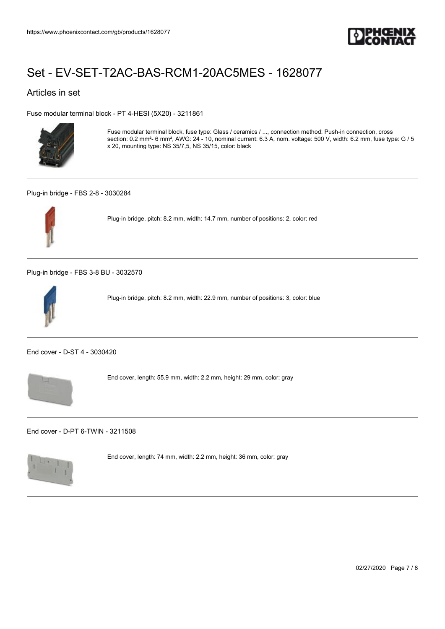

### Articles in set

[Fuse modular terminal block - PT 4-HESI \(5X20\) - 3211861](https://www.phoenixcontact.com/gb/products/3211861)



Fuse modular terminal block, fuse type: Glass / ceramics / ..., connection method: Push-in connection, cross section: 0.2 mm²- 6 mm², AWG: 24 - 10, nominal current: 6.3 A, nom. voltage: 500 V, width: 6.2 mm, fuse type: G / 5 x 20, mounting type: NS 35/7,5, NS 35/15, color: black

#### [Plug-in bridge - FBS 2-8 - 3030284](https://www.phoenixcontact.com/gb/products/3030284)



Plug-in bridge, pitch: 8.2 mm, width: 14.7 mm, number of positions: 2, color: red

[Plug-in bridge - FBS 3-8 BU - 3032570](https://www.phoenixcontact.com/gb/products/3032570)



Plug-in bridge, pitch: 8.2 mm, width: 22.9 mm, number of positions: 3, color: blue

[End cover - D-ST 4 - 3030420](https://www.phoenixcontact.com/gb/products/3030420)



End cover, length: 55.9 mm, width: 2.2 mm, height: 29 mm, color: gray

[End cover - D-PT 6-TWIN - 3211508](https://www.phoenixcontact.com/gb/products/3211508)



End cover, length: 74 mm, width: 2.2 mm, height: 36 mm, color: gray

02/27/2020 Page 7 / 8